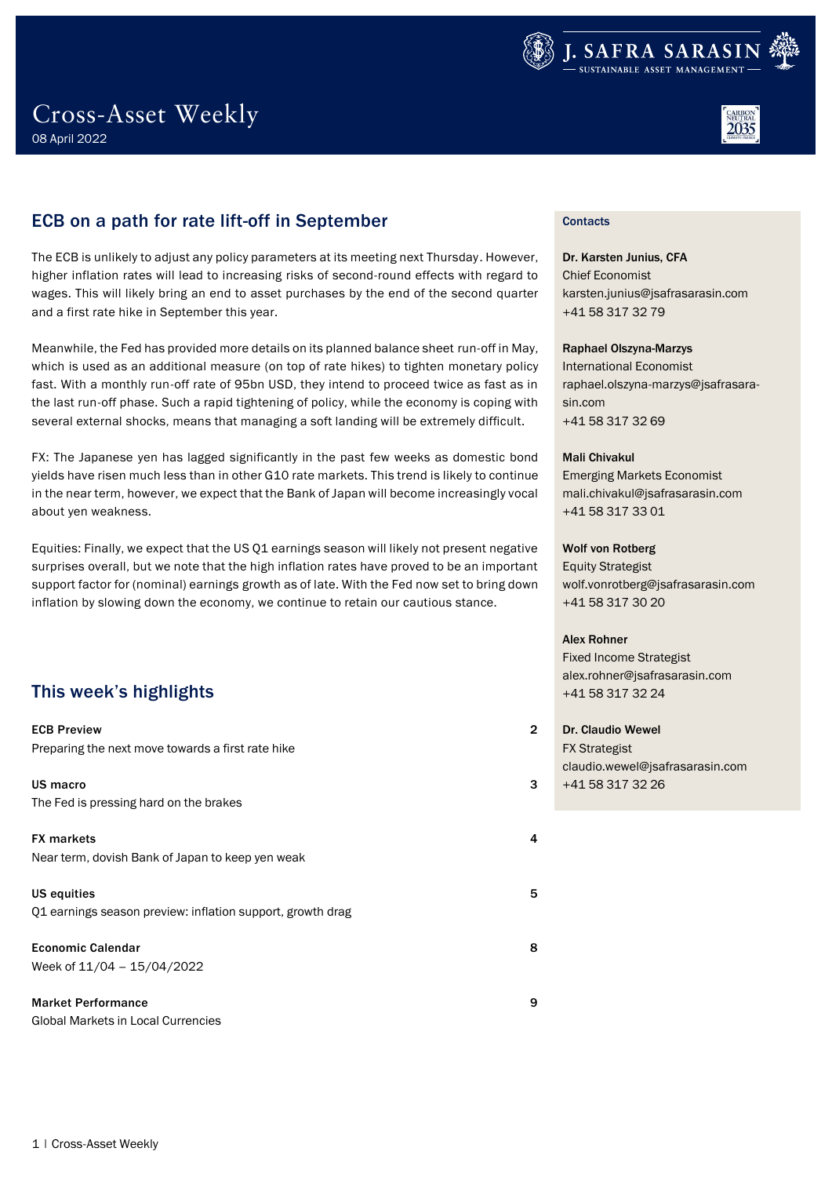



### ECB on a path for rate lift-off in September

The ECB is unlikely to adjust any policy parameters at its meeting next Thursday. However, higher inflation rates will lead to increasing risks of second-round effects with regard to wages. This will likely bring an end to asset purchases by the end of the second quarter and a first rate hike in September this year.

Meanwhile, the Fed has provided more details on its planned balance sheet run-off in May, which is used as an additional measure (on top of rate hikes) to tighten monetary policy fast. With a monthly run-off rate of 95bn USD, they intend to proceed twice as fast as in the last run-off phase. Such a rapid tightening of policy, while the economy is coping with several external shocks, means that managing a soft landing will be extremely difficult.

FX: The Japanese yen has lagged significantly in the past few weeks as domestic bond yields have risen much less than in other G10 rate markets. This trend is likely to continue in the near term, however, we expect that the Bank of Japan will become increasingly vocal about yen weakness.

Equities: Finally, we expect that the US Q1 earnings season will likely not present negative surprises overall, but we note that the high inflation rates have proved to be an important support factor for (nominal) earnings growth as of late. With the Fed now set to bring down inflation by slowing down the economy, we continue to retain our cautious stance.

### This week's highlights

| <b>ECB Preview</b><br>Preparing the next move towards a first rate hike   | $\overline{a}$ |
|---------------------------------------------------------------------------|----------------|
| US macro<br>The Fed is pressing hard on the brakes                        | З              |
| <b>FX</b> markets<br>Near term, dovish Bank of Japan to keep yen weak     | 4              |
| US equities<br>Q1 earnings season preview: inflation support, growth drag | 5              |
| <b>Economic Calendar</b><br>Week of $11/04 - 15/04/2022$                  | 8              |
| <b>Market Performance</b><br>Global Markets in Local Currencies           | 9              |

### **Contacts**

Dr. Karsten Junius, CFA Chief Economist karsten.junius@jsafrasarasin.com +41 58 317 32 79

#### Raphael Olszyna-Marzys

International Economist raphael.olszyna-marzys@jsafrasarasin.com +41 58 317 32 69

#### Mali Chivakul

Emerging Markets Economist mali.chivakul@jsafrasarasin.com +41 58 317 33 01

#### Wolf von Rotberg

Equity Strategist wolf.vonrotberg@jsafrasarasin.com +41 58 317 30 20

#### Alex Rohner

Fixed Income Strategist alex.rohner@jsafrasarasin.com +41 58 317 32 24

Dr. Claudio Wewel FX Strategist claudio.wewel@jsafrasarasin.com +41 58 317 32 26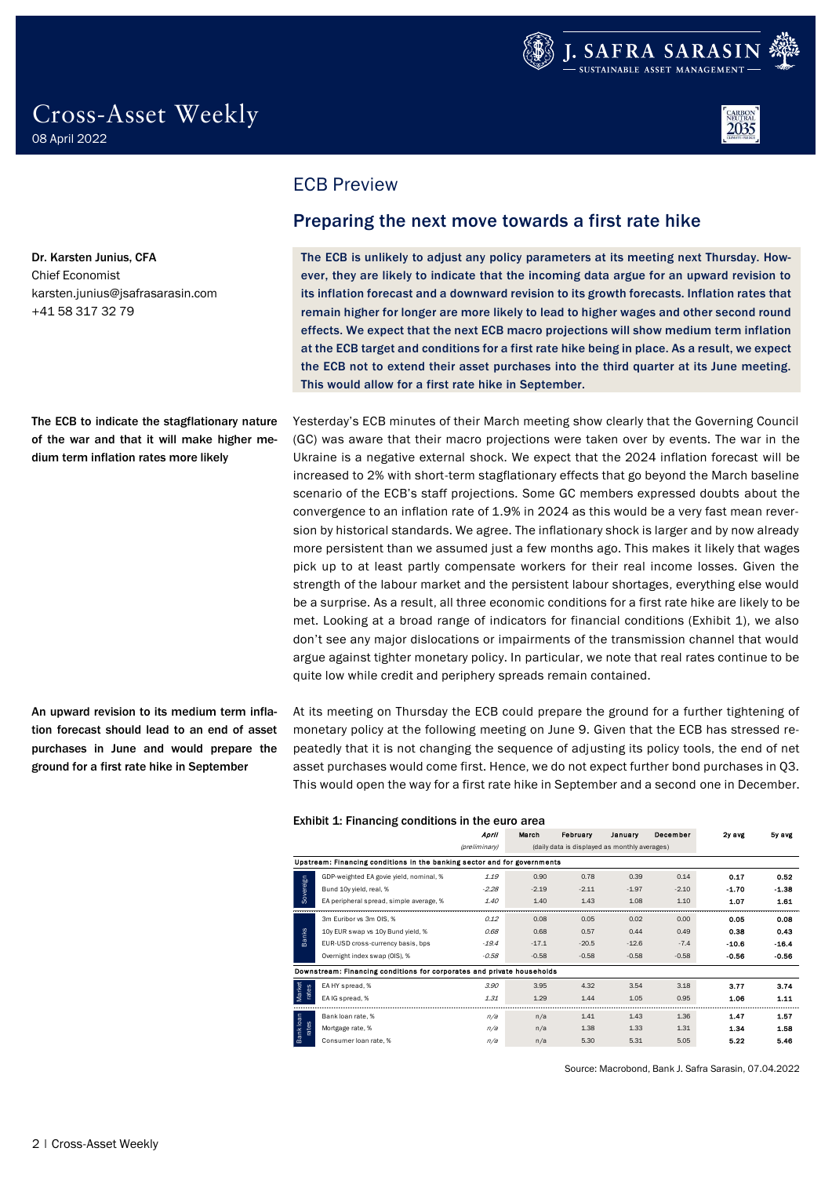





<span id="page-1-0"></span>ECB Preview

### <span id="page-1-1"></span>Preparing the next move towards a first rate hike

The ECB is unlikely to adjust any policy parameters at its meeting next Thursday. However, they are likely to indicate that the incoming data argue for an upward revision to its inflation forecast and a downward revision to its growth forecasts. Inflation rates that remain higher for longer are more likely to lead to higher wages and other second round effects. We expect that the next ECB macro projections will show medium term inflation at the ECB target and conditions for a first rate hike being in place. As a result, we expect the ECB not to extend their asset purchases into the third quarter at its June meeting. This would allow for a first rate hike in September.

Yesterday's ECB minutes of their March meeting show clearly that the Governing Council (GC) was aware that their macro projections were taken over by events. The war in the Ukraine is a negative external shock. We expect that the 2024 inflation forecast will be increased to 2% with short-term stagflationary effects that go beyond the March baseline scenario of the ECB's staff projections. Some GC members expressed doubts about the convergence to an inflation rate of 1.9% in 2024 as this would be a very fast mean reversion by historical standards. We agree. The inflationary shock is larger and by now already more persistent than we assumed just a few months ago. This makes it likely that wages pick up to at least partly compensate workers for their real income losses. Given the strength of the labour market and the persistent labour shortages, everything else would be a surprise. As a result, all three economic conditions for a first rate hike are likely to be met. Looking at a broad range of indicators for financial conditions (Exhibit 1), we also don't see any major dislocations or impairments of the transmission channel that would argue against tighter monetary policy. In particular, we note that real rates continue to be quite low while credit and periphery spreads remain contained.

At its meeting on Thursday the ECB could prepare the ground for a further tightening of monetary policy at the following meeting on June 9. Given that the ECB has stressed repeatedly that it is not changing the sequence of adjusting its policy tools, the end of net asset purchases would come first. Hence, we do not expect further bond purchases in Q3. This would open the way for a first rate hike in September and a second one in December.

|                 | THIS WOULD OPEN LIFE WAY TOT A HISL FALE HING IN SEPTENDED AND A SECOND ONE IN DECEMBEL. |               |         |                                               |         |          |         |         |
|-----------------|------------------------------------------------------------------------------------------|---------------|---------|-----------------------------------------------|---------|----------|---------|---------|
|                 | Exhibit 1: Financing conditions in the euro area                                         |               |         |                                               |         |          |         |         |
|                 |                                                                                          | April         | March   | February                                      | January | December | 2y avg  | by avg  |
|                 |                                                                                          | (preliminary) |         | (daily data is displayed as monthly averages) |         |          |         |         |
|                 | Upstream: Financing conditions in the banking sector and for governments                 |               |         |                                               |         |          |         |         |
|                 | GDP-weighted EA govie vield, nominal, %                                                  | 1.19          | 0.90    | 0.78                                          | 0.39    | 0.14     | 0.17    | 0.52    |
| Sovereign       | Bund 10y yield, real, %                                                                  | $-2.28$       | $-2.19$ | $-2.11$                                       | $-1.97$ | $-2.10$  | $-1.70$ | $-1.38$ |
|                 | EA peripheral spread, simple average, %                                                  | 1.40          | 1.40    | 1.43                                          | 1.08    | 1.10     | 1.07    | 1.61    |
|                 | 3m Euribor vs 3m OIS, %                                                                  | 0.12          | 0.08    | 0.05                                          | 0.02    | 0.00     | 0.05    | 0.08    |
| <b>Banks</b>    | 10y EUR swap vs 10y Bund yield, %                                                        | 0.68          | 0.68    | 0.57                                          | 0.44    | 0.49     | 0.38    | 0.43    |
|                 | EUR-USD cross-currency basis, bps                                                        | $-19.4$       | $-17.1$ | $-20.5$                                       | $-12.6$ | $-7.4$   | $-10.6$ | $-16.4$ |
|                 | Overnight index swap (OIS), %                                                            | $-0.58$       | $-0.58$ | $-0.58$                                       | $-0.58$ | $-0.58$  | $-0.56$ | $-0.56$ |
|                 | Downstream: Financing conditions for corporates and private households                   |               |         |                                               |         |          |         |         |
|                 | EA HY spread, %                                                                          | 3.90          | 3.95    | 4.32                                          | 3.54    | 3.18     | 3.77    | 3.74    |
| Market<br>rates | EA IG spread, %                                                                          | 1.31          | 1.29    | 1.44                                          | 1.05    | 0.95     | 1.06    | 1.11    |
|                 | Bank loan rate, %                                                                        | n/a           | n/a     | 1.41                                          | 1.43    | 1.36     | 1.47    | 1.57    |
| rates           | Mortgage rate, %                                                                         | n/a           | n/a     | 1.38                                          | 1.33    | 1.31     | 1.34    | 1.58    |
| <b>Bankloan</b> | Consumer loan rate, %                                                                    | n/a           | n/a     | 5.30                                          | 5.31    | 5.05     | 5.22    | 5.46    |

Dr. Karsten Junius, CFA Chief Economist karsten.junius@jsafrasarasin.com +41 58 317 32 79

The ECB to indicate the stagflationary nature of the war and that it will make higher medium term inflation rates more likely

An upward revision to its medium term inflation forecast should lead to an end of asset purchases in June and would prepare the ground for a first rate hike in September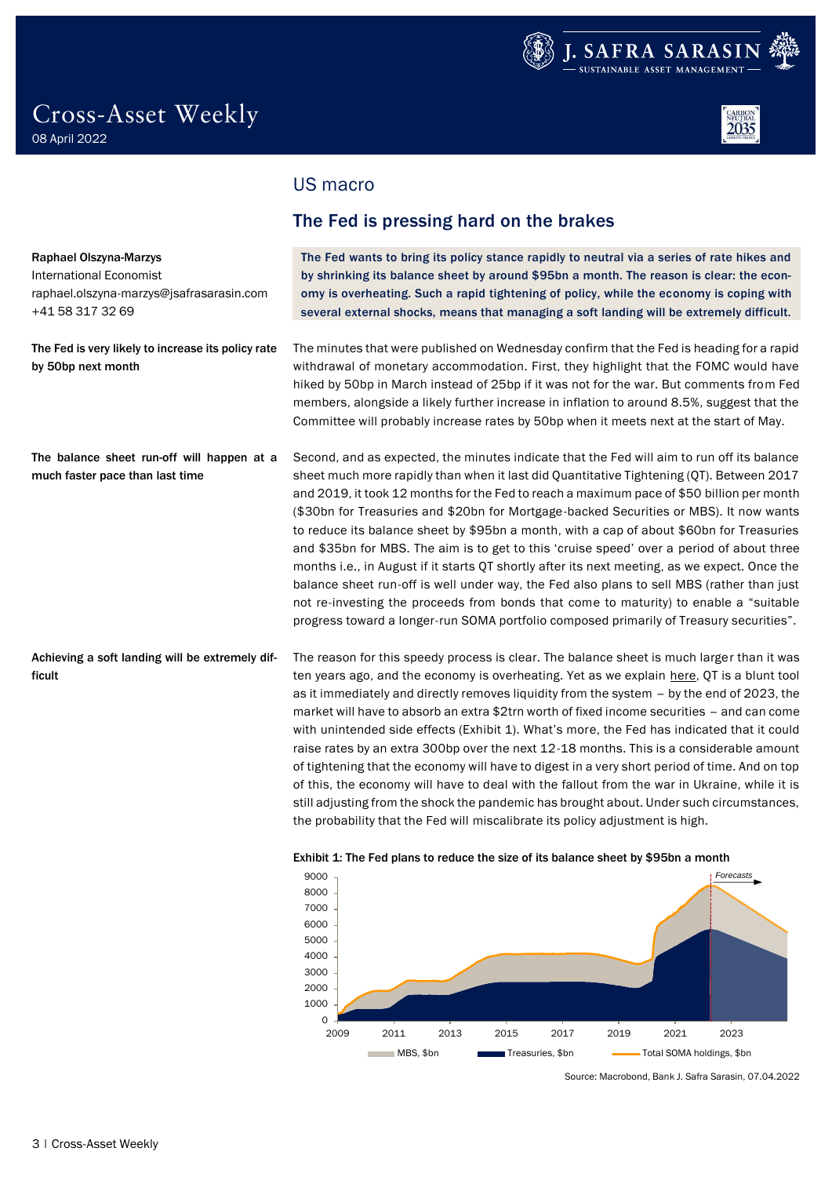

Raphael Olszyna-Marzys International Economist

+41 58 317 32 69

by 50bp next month



### <span id="page-2-0"></span>US macro

### <span id="page-2-1"></span>The Fed is pressing hard on the brakes

The Fed wants to bring its policy stance rapidly to neutral via a series of rate hikes and by shrinking its balance sheet by around \$95bn a month. The reason is clear: the economy is overheating. Such a rapid tightening of policy, while the economy is coping with several external shocks, means that managing a soft landing will be extremely difficult. The minutes that were published on Wednesday confirm that the Fed is heading for a rapid raphael.olszyna-marzys@jsafrasarasin.com The Fed is very likely to increase its policy rate

withdrawal of monetary accommodation. First, they highlight that the FOMC would have hiked by 50bp in March instead of 25bp if it was not for the war. But comments from Fed members, alongside a likely further increase in inflation to around 8.5%, suggest that the Committee will probably increase rates by 50bp when it meets next at the start of May.

Second, and as expected, the minutes indicate that the Fed will aim to run off its balance sheet much more rapidly than when it last did Quantitative Tightening (QT). Between 2017 and 2019, it took 12 months for the Fed to reach a maximum pace of \$50 billion per month (\$30bn for Treasuries and \$20bn for Mortgage-backed Securities or MBS). It now wants to reduce its balance sheet by \$95bn a month, with a cap of about \$60bn for Treasuries and \$35bn for MBS. The aim is to get to this 'cruise speed' over a period of about three months i.e., in August if it starts QT shortly after its next meeting, as we expect. Once the balance sheet run-off is well under way, the Fed also plans to sell MBS (rather than just not re-investing the proceeds from bonds that come to maturity) to enable a "suitable progress toward a longer-run SOMA portfolio composed primarily of Treasury securities". The balance sheet run-off will happen at a much faster pace than last time

The reason for this speedy process is clear. The balance sheet is much larger than it was ten years ago, and the economy is overheating. Yet as we explain [here,](https://publications.jsafrasarasin.com/publ-dl-ch/dl-discl?dl=564F1B2ECBBB2E78BD678E188AB989FD8B5985961DDE10C90143527612A8658E7422835A64C684FE07B800CAF5D3546E) QT is a blunt tool as it immediately and directly removes liquidity from the system – by the end of 2023, the market will have to absorb an extra \$2trn worth of fixed income securities – and can come with unintended side effects (Exhibit 1). What's more, the Fed has indicated that it could raise rates by an extra 300bp over the next 12-18 months. This is a considerable amount of tightening that the economy will have to digest in a very short period of time. And on top of this, the economy will have to deal with the fallout from the war in Ukraine, while it is still adjusting from the shock the pandemic has brought about. Under such circumstances, the probability that the Fed will miscalibrate its policy adjustment is high. Achieving a soft landing will be extremely difficult



#### Exhibit 1: The Fed plans to reduce the size of its balance sheet by \$95bn a month

Source: Macrobond, Bank J. Safra Sarasin, 07.04.2022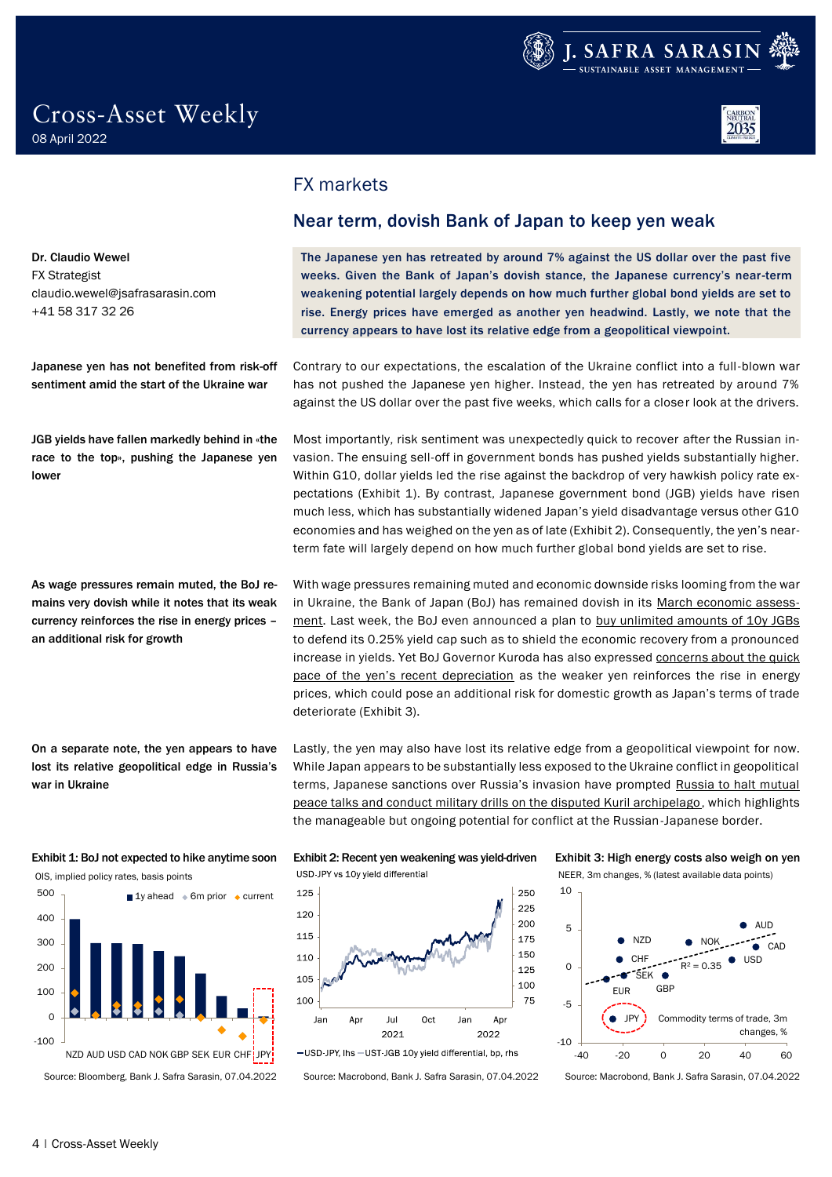



<span id="page-3-0"></span>FX markets

### <span id="page-3-1"></span>Near term, dovish Bank of Japan to keep yen weak

The Japanese yen has retreated by around 7% against the US dollar over the past five weeks. Given the Bank of Japan's dovish stance, the Japanese currency's near-term weakening potential largely depends on how much further global bond yields are set to rise. Energy prices have emerged as another yen headwind. Lastly, we note that the currency appears to have lost its relative edge from a geopolitical viewpoint.

Contrary to our expectations, the escalation of the Ukraine conflict into a full-blown war has not pushed the Japanese yen higher. Instead, the yen has retreated by around 7% against the US dollar over the past five weeks, which calls for a closer look at the drivers.

Most importantly, risk sentiment was unexpectedly quick to recover after the Russian invasion. The ensuing sell-off in government bonds has pushed yields substantially higher. Within G10, dollar yields led the rise against the backdrop of very hawkish policy rate expectations (Exhibit 1). By contrast, Japanese government bond (JGB) yields have risen much less, which has substantially widened Japan's yield disadvantage versus other G10 economies and has weighed on the yen as of late (Exhibit 2). Consequently, the yen's nearterm fate will largely depend on how much further global bond yields are set to rise.

With wage pressures remaining muted and economic downside risks looming from the war in Ukraine, the Bank of Japan (BoJ) has remained dovish in its [March economic assess](https://www.boj.or.jp/en/announcements/release_2022/k220318a.pdf)[ment.](https://www.boj.or.jp/en/announcements/release_2022/k220318a.pdf) Last week, the BoJ even announced a plan to [buy unlimited amounts of 10y JGBs](https://www.reuters.com/world/asia-pacific/boj-offers-buy-unlimited-10-year-bonds-defend-yield-ceiling-2022-03-28/) to defend its 0.25% yield cap such as to shield the economic recovery from a pronounced increase in yields. Yet BoJ Governor Kuroda has also expressed concerns about the quick [pace of the yen's recent depreciation](https://www.reuters.com/world/asia-pacific/bojs-kuroda-expected-acceleration-inflation-could-hurt-economy-2022-04-05/) as the weaker yen reinforces the rise in energy prices, which could pose an additional risk for domestic growth as Japan's terms of trade deteriorate (Exhibit 3).

Lastly, the yen may also have lost its relative edge from a geopolitical viewpoint for now. While Japan appears to be substantially less exposed to the Ukraine conflict in geopolitical terms, Japanese sanctions over Russia's invasion have prompted [Russia to halt mutual](https://www.reuters.com/world/europe/russia-conducts-military-drills-isles-disputed-with-japan-media-2022-03-26/)  [peace talks and conduct military drills on the disputed Kuril archipelago,](https://www.reuters.com/world/europe/russia-conducts-military-drills-isles-disputed-with-japan-media-2022-03-26/) which highlights the manageable but ongoing potential for conflict at the Russian-Japanese border.







Dr. Claudio Wewel FX Strategist claudio.wewel@jsafrasarasin.com +41 58 317 32 26

Japanese yen has not benefited from risk-off sentiment amid the start of the Ukraine war

JGB yields have fallen markedly behind in «the race to the top», pushing the Japanese yen lower

As wage pressures remain muted, the BoJ remains very dovish while it notes that its weak currency reinforces the rise in energy prices – an additional risk for growth

On a separate note, the yen appears to have lost its relative geopolitical edge in Russia's war in Ukraine



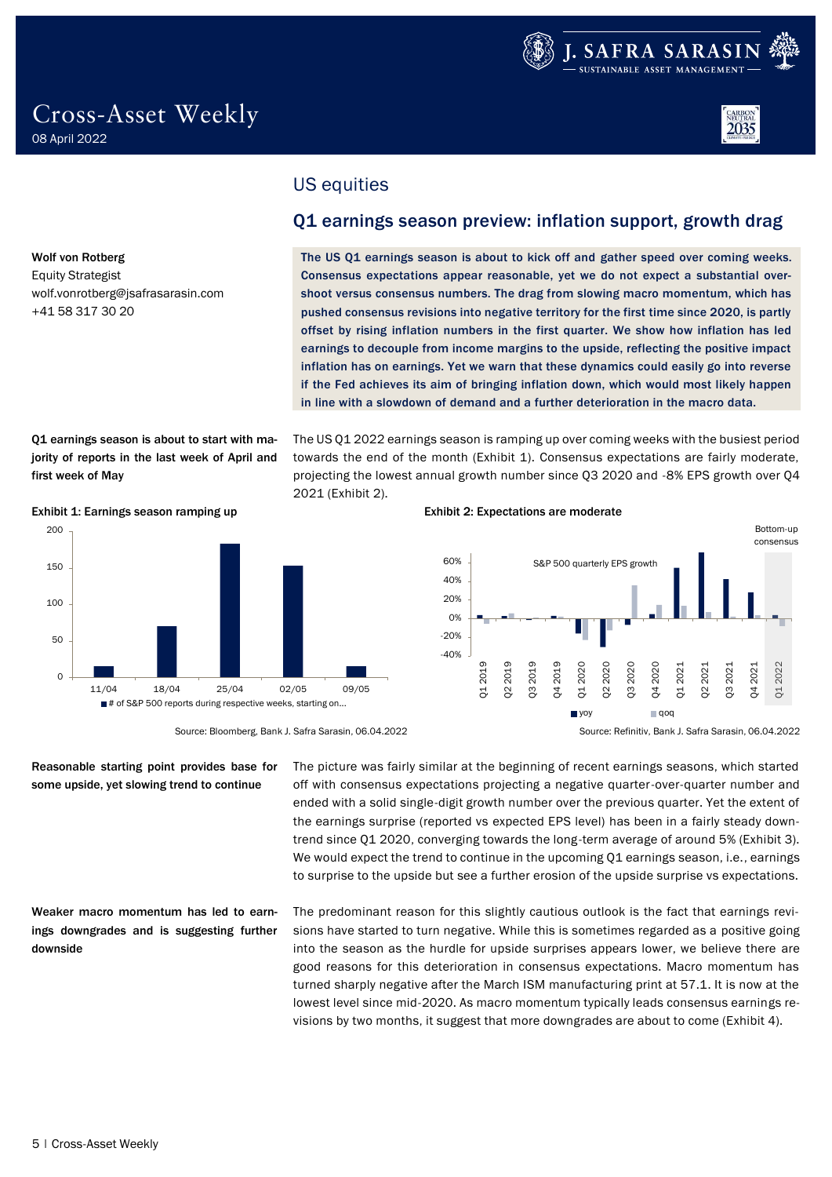

wolf.vonrotberg@jsafrasarasin.com

Wolf von Rotberg Equity Strategist

+41 58 317 30 20

## <span id="page-4-0"></span>US equities

### <span id="page-4-1"></span>Q1 earnings season preview: inflation support, growth drag

The US Q1 earnings season is about to kick off and gather speed over coming weeks. Consensus expectations appear reasonable, yet we do not expect a substantial overshoot versus consensus numbers. The drag from slowing macro momentum, which has pushed consensus revisions into negative territory for the first time since 2020, is partly offset by rising inflation numbers in the first quarter. We show how inflation has led earnings to decouple from income margins to the upside, reflecting the positive impact inflation has on earnings. Yet we warn that these dynamics could easily go into reverse if the Fed achieves its aim of bringing inflation down, which would most likely happen in line with a slowdown of demand and a further deterioration in the macro data.

Q1 earnings season is about to start with majority of reports in the last week of April and first week of May

The US Q1 2022 earnings season is ramping up over coming weeks with the busiest period towards the end of the month (Exhibit 1). Consensus expectations are fairly moderate, projecting the lowest annual growth number since Q3 2020 and -8% EPS growth over Q4 2021 (Exhibit 2).



#### Exhibit 1: Earnings season ramping up Exhibit 2: Expectations are moderate



Source: Bloomberg, Bank J. Safra Sarasin, 06.04.2022 Source: Refinitiv, Bank J. Safra Sarasin, 06.04.2022

Reasonable starting point provides base for some upside, yet slowing trend to continue

Weaker macro momentum has led to earnings downgrades and is suggesting further downside

The picture was fairly similar at the beginning of recent earnings seasons, which started off with consensus expectations projecting a negative quarter-over-quarter number and ended with a solid single-digit growth number over the previous quarter. Yet the extent of the earnings surprise (reported vs expected EPS level) has been in a fairly steady downtrend since Q1 2020, converging towards the long-term average of around 5% (Exhibit 3). We would expect the trend to continue in the upcoming  $Q1$  earnings season, i.e., earnings to surprise to the upside but see a further erosion of the upside surprise vs expectations.

The predominant reason for this slightly cautious outlook is the fact that earnings revisions have started to turn negative. While this is sometimes regarded as a positive going into the season as the hurdle for upside surprises appears lower, we believe there are good reasons for this deterioration in consensus expectations. Macro momentum has turned sharply negative after the March ISM manufacturing print at 57.1. It is now at the lowest level since mid-2020. As macro momentum typically leads consensus earnings revisions by two months, it suggest that more downgrades are about to come (Exhibit 4).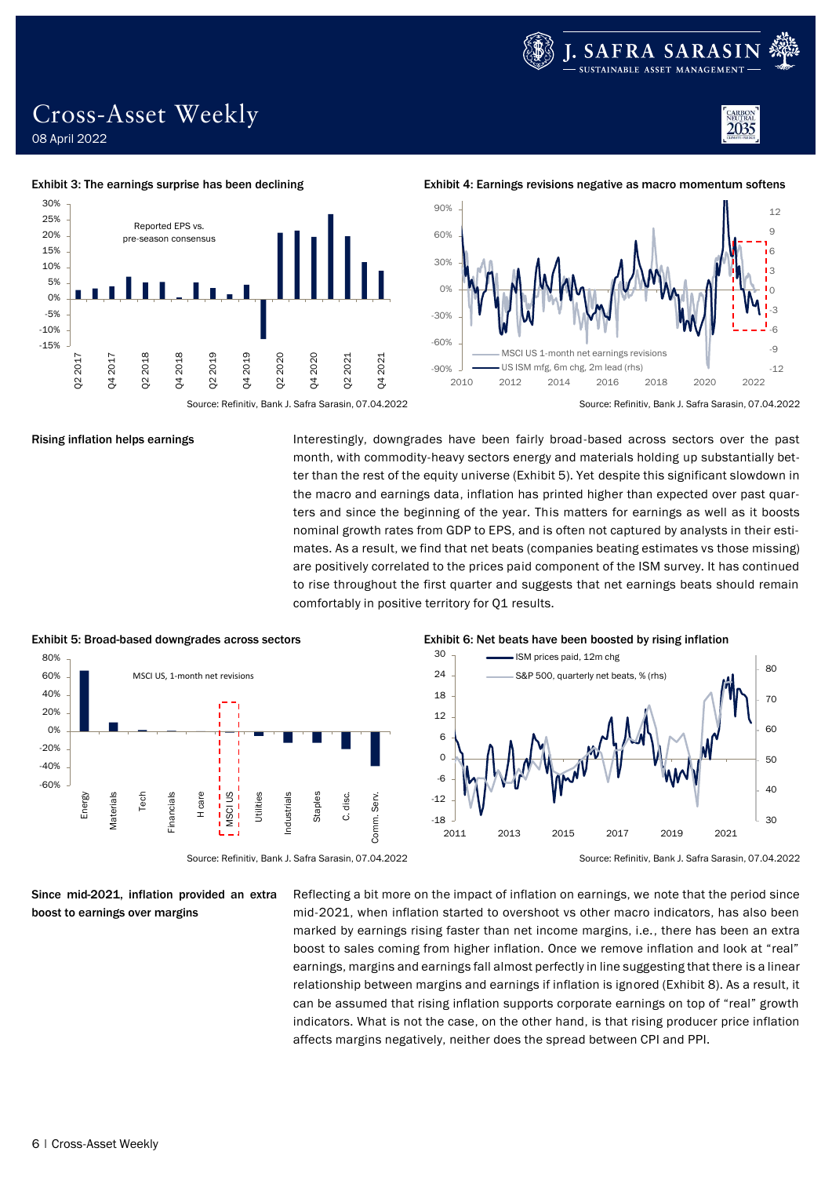

2035

### Cross-Asset Weekly 08 April 2022

Exhibit 3: The earnings surprise has been declining example  $\frac{1}{2}$  Exhibit 4: Earnings revisions negative as macro momentum softens



Q4 2020

Q2 2021

Q4 2021

Q2 2020

Rising inflation helps earnings

Q4 2017

Q2 2018

Q4 2018

Reported EPS vs. pre-season consensus

Q2 2019

Q4 2019

-15% -10% -5% 0% 5% 10% 15% 20% 25% 30%

Q2 2017

Ľ

Interestingly, downgrades have been fairly broad-based across sectors over the past month, with commodity-heavy sectors energy and materials holding up substantially better than the rest of the equity universe (Exhibit 5). Yet despite this significant slowdown in the macro and earnings data, inflation has printed higher than expected over past quarters and since the beginning of the year. This matters for earnings as well as it boosts nominal growth rates from GDP to EPS, and is often not captured by analysts in their estimates. As a result, we find that net beats (companies beating estimates vs those missing) are positively correlated to the prices paid component of the ISM survey. It has continued to rise throughout the first quarter and suggests that net earnings beats should remain comfortably in positive territory for Q1 results.



Since mid-2021, inflation provided an extra boost to earnings over margins

Reflecting a bit more on the impact of inflation on earnings, we note that the period since mid-2021, when inflation started to overshoot vs other macro indicators, has also been marked by earnings rising faster than net income margins, i.e., there has been an extra boost to sales coming from higher inflation. Once we remove inflation and look at "real" earnings, margins and earnings fall almost perfectly in line suggesting that there is a linear relationship between margins and earnings if inflation is ignored (Exhibit 8). As a result, it can be assumed that rising inflation supports corporate earnings on top of "real" growth indicators. What is not the case, on the other hand, is that rising producer price inflation affects margins negatively, neither does the spread between CPI and PPI.



#### 30 - ISM prices paid, 12m chg



Source: Refinitiv, Bank J. Safra Sarasin, 07.04.2022 Source: Refinitiv, Bank J. Safra Sarasin, 07.04.2022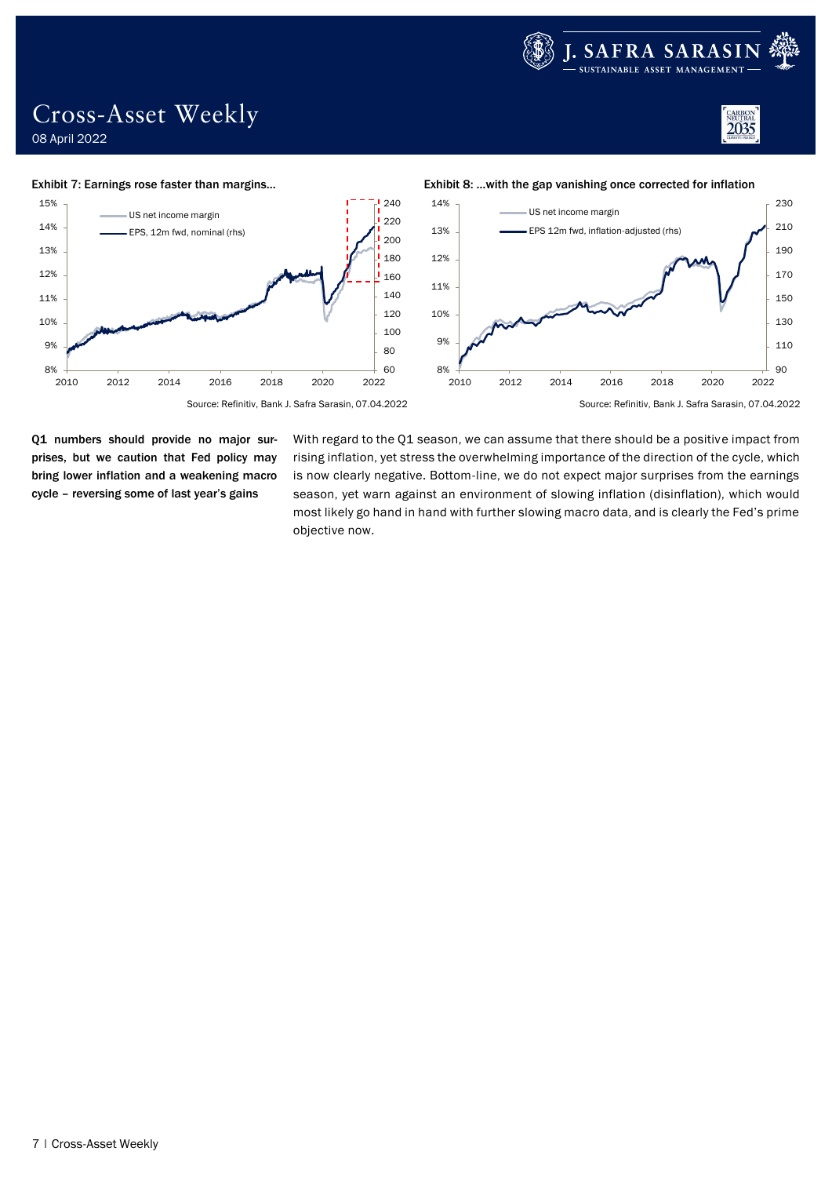

### Cross-Asset Weekly 08 April 2022





Q1 numbers should provide no major surprises, but we caution that Fed policy may bring lower inflation and a weakening macro cycle – reversing some of last year's gains

With regard to the Q1 season, we can assume that there should be a positive impact from rising inflation, yet stress the overwhelming importance of the direction of the cycle, which is now clearly negative. Bottom-line, we do not expect major surprises from the earnings season, yet warn against an environment of slowing inflation (disinflation), which would most likely go hand in hand with further slowing macro data, and is clearly the Fed's prime objective now.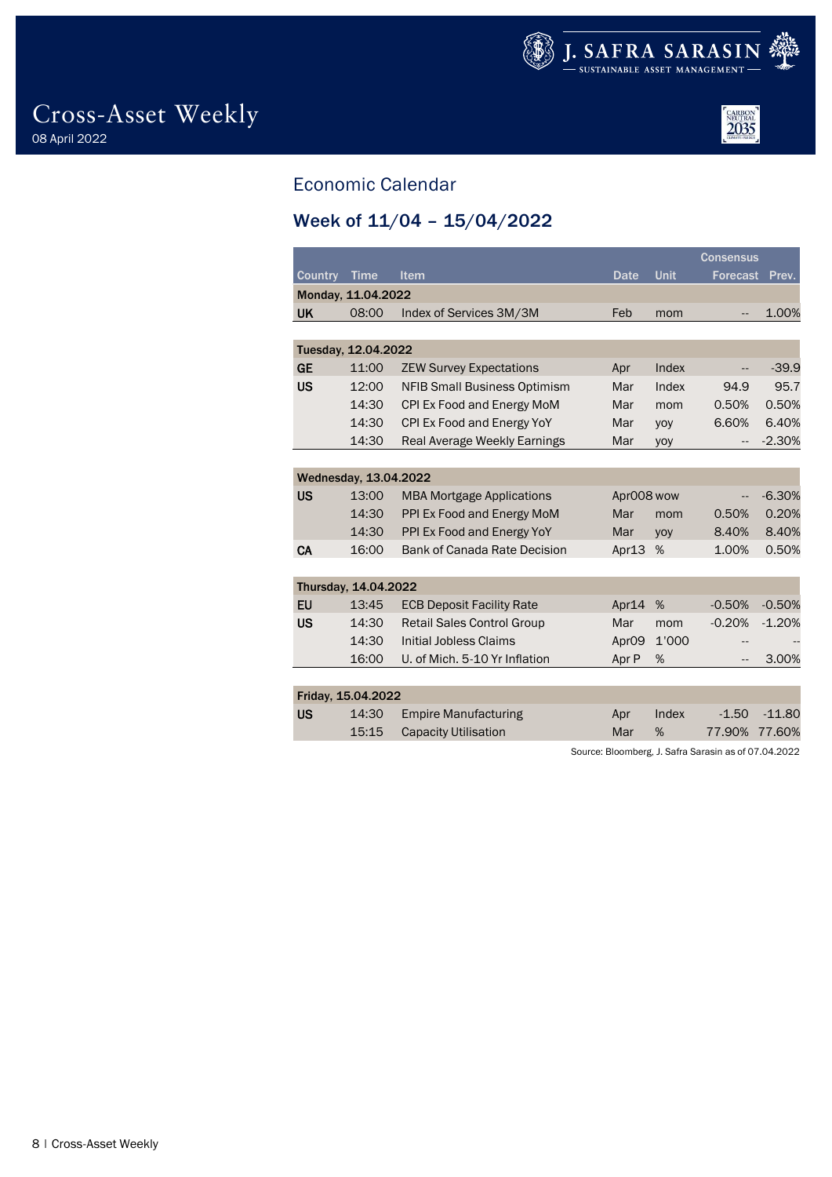



## <span id="page-7-0"></span>Economic Calendar

### <span id="page-7-1"></span>Week of 11/04 – 15/04/2022

|                |                       |                                     |                   |       | <b>Consensus</b> |          |
|----------------|-----------------------|-------------------------------------|-------------------|-------|------------------|----------|
| <b>Country</b> | <b>Time</b>           | Item                                | <b>Date</b>       | Unit  | <b>Forecast</b>  | Prev.    |
|                | Monday, 11.04.2022    |                                     |                   |       |                  |          |
| <b>UK</b>      | 08:00                 | Index of Services 3M/3M             | Feb               | mom   | --               | 1.00%    |
|                |                       |                                     |                   |       |                  |          |
|                | Tuesday, 12.04.2022   |                                     |                   |       |                  |          |
| <b>GE</b>      | 11:00                 | <b>ZEW Survey Expectations</b>      | Apr               | Index | --               | $-39.9$  |
| <b>US</b>      | 12:00                 | <b>NFIB Small Business Optimism</b> | Mar               | Index | 94.9             | 95.7     |
|                | 14:30                 | CPI Ex Food and Energy MoM          | Mar               | mom   | 0.50%            | 0.50%    |
|                | 14:30                 | CPI Ex Food and Energy YoY          | Mar               | yoy   | 6.60%            | 6.40%    |
|                | 14:30                 | Real Average Weekly Earnings        | Mar               | yoy   |                  | $-2.30%$ |
|                |                       |                                     |                   |       |                  |          |
|                | Wednesday, 13.04.2022 |                                     |                   |       |                  |          |
| <b>US</b>      | 13:00                 | <b>MBA Mortgage Applications</b>    | AprOO8 wow        |       | --               | $-6.30%$ |
|                | 14:30                 | PPI Ex Food and Energy MoM          | Mar               | mom   | 0.50%            | 0.20%    |
|                | 14:30                 | PPI Ex Food and Energy YoY          | Mar               | yoy   | 8.40%            | 8.40%    |
| CA             | 16:00                 | <b>Bank of Canada Rate Decision</b> | Apr13             | %     | 1.00%            | 0.50%    |
|                |                       |                                     |                   |       |                  |          |
|                | Thursday, 14.04.2022  |                                     |                   |       |                  |          |
| <b>EU</b>      | 13:45                 | <b>ECB Deposit Facility Rate</b>    | Apr14             | %     | $-0.50%$         | $-0.50%$ |
| <b>US</b>      | 14:30                 | <b>Retail Sales Control Group</b>   | Mar               | mom   | $-0.20%$         | $-1.20%$ |
|                | 14:30                 | <b>Initial Jobless Claims</b>       | Apr <sub>09</sub> | 1'000 | --               |          |
|                | 16:00                 | U. of Mich. 5-10 Yr Inflation       | Apr P             | %     | --               | 3.00%    |
|                |                       |                                     |                   |       |                  |          |
|                | Friday, 15.04.2022    |                                     |                   |       |                  |          |
| <b>US</b>      | 14:30                 | <b>Empire Manufacturing</b>         | Apr               | Index | $-1.50$          | $-11.80$ |
|                | 15:15                 | <b>Capacity Utilisation</b>         | Mar               | %     | 77.90%           | 77.60%   |

Source: Bloomberg, J. Safra Sarasin as of 07.04.2022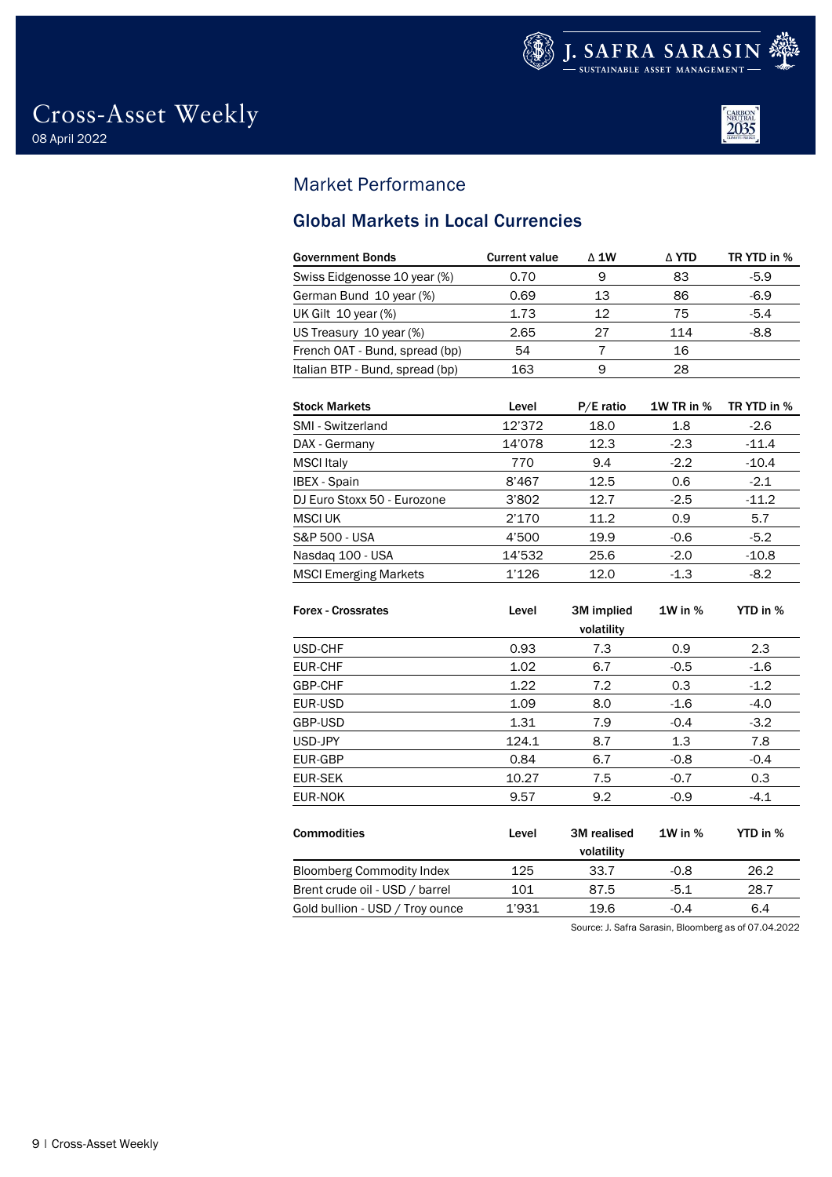



### <span id="page-8-0"></span>Market Performance

### <span id="page-8-1"></span>Global Markets in Local Currencies

| <b>Government Bonds</b>         | <b>Current value</b> | $\triangle$ 1W | ∆ YTD | TR YTD in % |
|---------------------------------|----------------------|----------------|-------|-------------|
| Swiss Eidgenosse 10 year (%)    | 0.70                 | 9              | 83    | $-5.9$      |
| German Bund 10 year (%)         | 0.69                 | 13             | 86    | $-6.9$      |
| UK Gilt 10 year (%)             | 1.73                 | 12             | 75    | $-5.4$      |
| US Treasury 10 year (%)         | 2.65                 | 27             | 114   | $-8.8$      |
| French OAT - Bund, spread (bp)  | 54                   |                | 16    |             |
| Italian BTP - Bund, spread (bp) | 163                  | 9              | 28    |             |
|                                 |                      |                |       |             |

| <b>Stock Markets</b>         | Level  | $P/E$ ratio | <b>1W TR in %</b> | TR YTD in % |
|------------------------------|--------|-------------|-------------------|-------------|
| SMI - Switzerland            | 12'372 | 18.0        | 1.8               | $-2.6$      |
| DAX - Germany                | 14'078 | 12.3        | $-2.3$            | $-11.4$     |
| <b>MSCI</b> Italy            | 770    | 9.4         | $-2.2$            | $-10.4$     |
| <b>IBEX</b> - Spain          | 8'467  | 12.5        | 0.6               | $-2.1$      |
| DJ Euro Stoxx 50 - Eurozone  | 3'802  | 12.7        | $-2.5$            | $-11.2$     |
| <b>MSCI UK</b>               | 2'170  | 11.2        | 0.9               | 5.7         |
| S&P 500 - USA                | 4'500  | 19.9        | $-0.6$            | $-5.2$      |
| Nasdag 100 - USA             | 14'532 | 25.6        | $-2.0$            | $-10.8$     |
| <b>MSCI Emerging Markets</b> | 1'126  | 12.0        | $-1.3$            | $-8.2$      |

| <b>Forex - Crossrates</b>        | Level | 3M implied<br>volatility  | $1W$ in $%$ | YTD in % |
|----------------------------------|-------|---------------------------|-------------|----------|
| USD-CHF                          | 0.93  | 7.3                       | 0.9         | 2.3      |
| EUR-CHF                          | 1.02  | 6.7                       | $-0.5$      | $-1.6$   |
| GBP-CHF                          | 1.22  | 7.2                       | 0.3         | $-1.2$   |
| EUR-USD                          | 1.09  | 8.0                       | $-1.6$      | $-4.0$   |
| GBP-USD                          | 1.31  | 7.9                       | $-0.4$      | $-3.2$   |
| USD-JPY                          | 124.1 | 8.7                       | 1.3         | 7.8      |
| EUR-GBP                          | 0.84  | 6.7                       | $-0.8$      | $-0.4$   |
| <b>EUR-SEK</b>                   | 10.27 | 7.5                       | $-0.7$      | 0.3      |
| EUR-NOK                          | 9.57  | 9.2                       | $-0.9$      | $-4.1$   |
| <b>Commodities</b>               | Level | 3M realised<br>volatility | $1W$ in $%$ | YTD in % |
| <b>Bloomberg Commodity Index</b> | 125   | 33.7                      | $-0.8$      | 26.2     |
| Brent crude oil - USD / barrel   | 101   | 87.5                      | $-5.1$      | 28.7     |
| Gold bullion - USD / Troy ounce  | 1'931 | 19.6                      | $-0.4$      | 6.4      |

Source: J. Safra Sarasin, Bloomberg as of 07.04.2022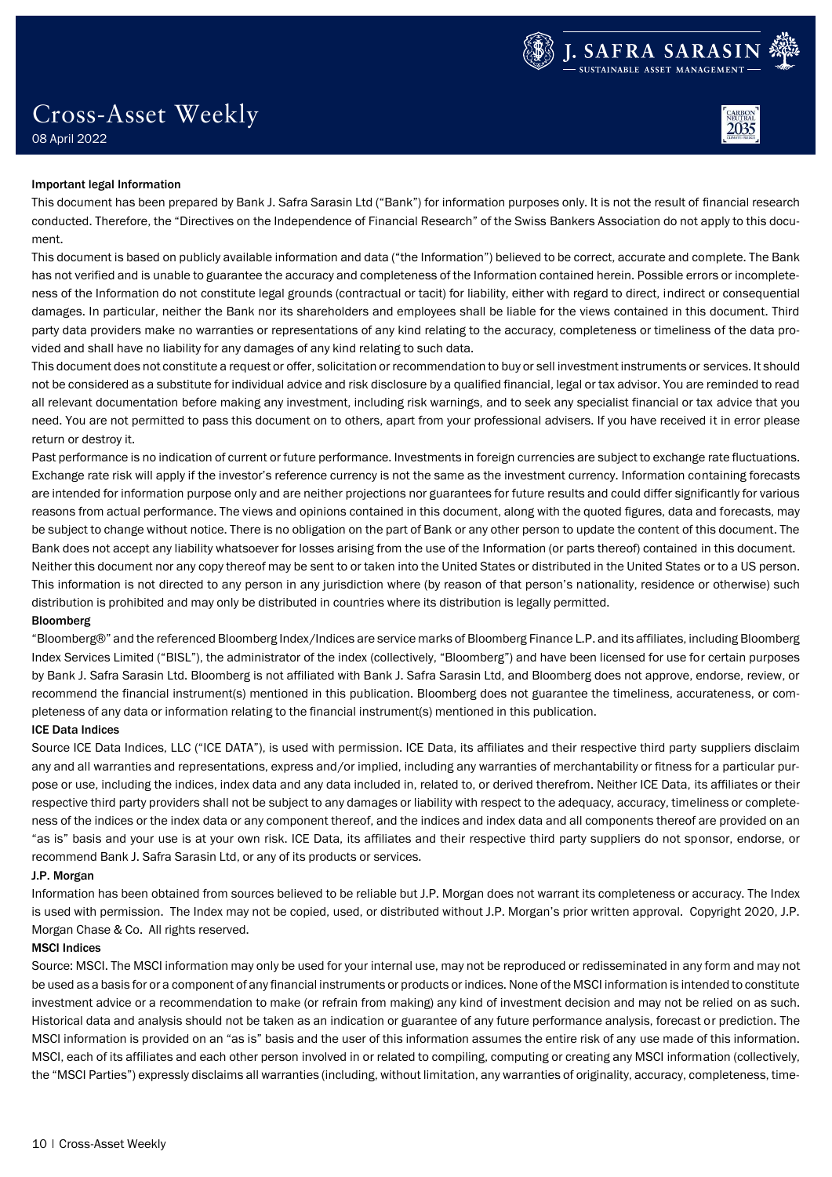

# Cross-Asset Weekly



### 08 April 2022

#### Important legal Information

This document has been prepared by Bank J. Safra Sarasin Ltd ("Bank") for information purposes only. It is not the result of financial research conducted. Therefore, the "Directives on the Independence of Financial Research" of the Swiss Bankers Association do not apply to this document.

This document is based on publicly available information and data ("the Information") believed to be correct, accurate and complete. The Bank has not verified and is unable to guarantee the accuracy and completeness of the Information contained herein. Possible errors or incompleteness of the Information do not constitute legal grounds (contractual or tacit) for liability, either with regard to direct, indirect or consequential damages. In particular, neither the Bank nor its shareholders and employees shall be liable for the views contained in this document. Third party data providers make no warranties or representations of any kind relating to the accuracy, completeness or timeliness of the data provided and shall have no liability for any damages of any kind relating to such data.

This document does not constitute a request or offer, solicitation or recommendation to buy or sell investment instruments or services. It should not be considered as a substitute for individual advice and risk disclosure by a qualified financial, legal or tax advisor. You are reminded to read all relevant documentation before making any investment, including risk warnings, and to seek any specialist financial or tax advice that you need. You are not permitted to pass this document on to others, apart from your professional advisers. If you have received it in error please return or destroy it.

Past performance is no indication of current or future performance. Investments in foreign currencies are subject to exchange rate fluctuations. Exchange rate risk will apply if the investor's reference currency is not the same as the investment currency. Information containing forecasts are intended for information purpose only and are neither projections nor guarantees for future results and could differ significantly for various reasons from actual performance. The views and opinions contained in this document, along with the quoted figures, data and forecasts, may be subject to change without notice. There is no obligation on the part of Bank or any other person to update the content of this document. The Bank does not accept any liability whatsoever for losses arising from the use of the Information (or parts thereof) contained in this document. Neither this document nor any copy thereof may be sent to or taken into the United States or distributed in the United States or to a US person. This information is not directed to any person in any jurisdiction where (by reason of that person's nationality, residence or otherwise) such distribution is prohibited and may only be distributed in countries where its distribution is legally permitted.

#### Bloomberg

"Bloomberg®" and the referenced Bloomberg Index/Indices are service marks of Bloomberg Finance L.P. and its affiliates, including Bloomberg Index Services Limited ("BISL"), the administrator of the index (collectively, "Bloomberg") and have been licensed for use for certain purposes by Bank J. Safra Sarasin Ltd. Bloomberg is not affiliated with Bank J. Safra Sarasin Ltd, and Bloomberg does not approve, endorse, review, or recommend the financial instrument(s) mentioned in this publication. Bloomberg does not guarantee the timeliness, accurateness, or completeness of any data or information relating to the financial instrument(s) mentioned in this publication.

#### ICE Data Indices

Source ICE Data Indices, LLC ("ICE DATA"), is used with permission. ICE Data, its affiliates and their respective third party suppliers disclaim any and all warranties and representations, express and/or implied, including any warranties of merchantability or fitness for a particular purpose or use, including the indices, index data and any data included in, related to, or derived therefrom. Neither ICE Data, its affiliates or their respective third party providers shall not be subject to any damages or liability with respect to the adequacy, accuracy, timeliness or completeness of the indices or the index data or any component thereof, and the indices and index data and all components thereof are provided on an "as is" basis and your use is at your own risk. ICE Data, its affiliates and their respective third party suppliers do not sponsor, endorse, or recommend Bank J. Safra Sarasin Ltd, or any of its products or services.

#### J.P. Morgan

Information has been obtained from sources believed to be reliable but J.P. Morgan does not warrant its completeness or accuracy. The Index is used with permission. The Index may not be copied, used, or distributed without J.P. Morgan's prior written approval. Copyright 2020, J.P. Morgan Chase & Co. All rights reserved.

#### MSCI Indices

Source: MSCI. The MSCI information may only be used for your internal use, may not be reproduced or redisseminated in any form and may not be used as a basis for or a component of any financial instruments or products or indices. None of the MSCI information is intended to constitute investment advice or a recommendation to make (or refrain from making) any kind of investment decision and may not be relied on as such. Historical data and analysis should not be taken as an indication or guarantee of any future performance analysis, forecast or prediction. The MSCI information is provided on an "as is" basis and the user of this information assumes the entire risk of any use made of this information. MSCI, each of its affiliates and each other person involved in or related to compiling, computing or creating any MSCI information (collectively, the "MSCI Parties") expressly disclaims all warranties (including, without limitation, any warranties of originality, accuracy, completeness, time-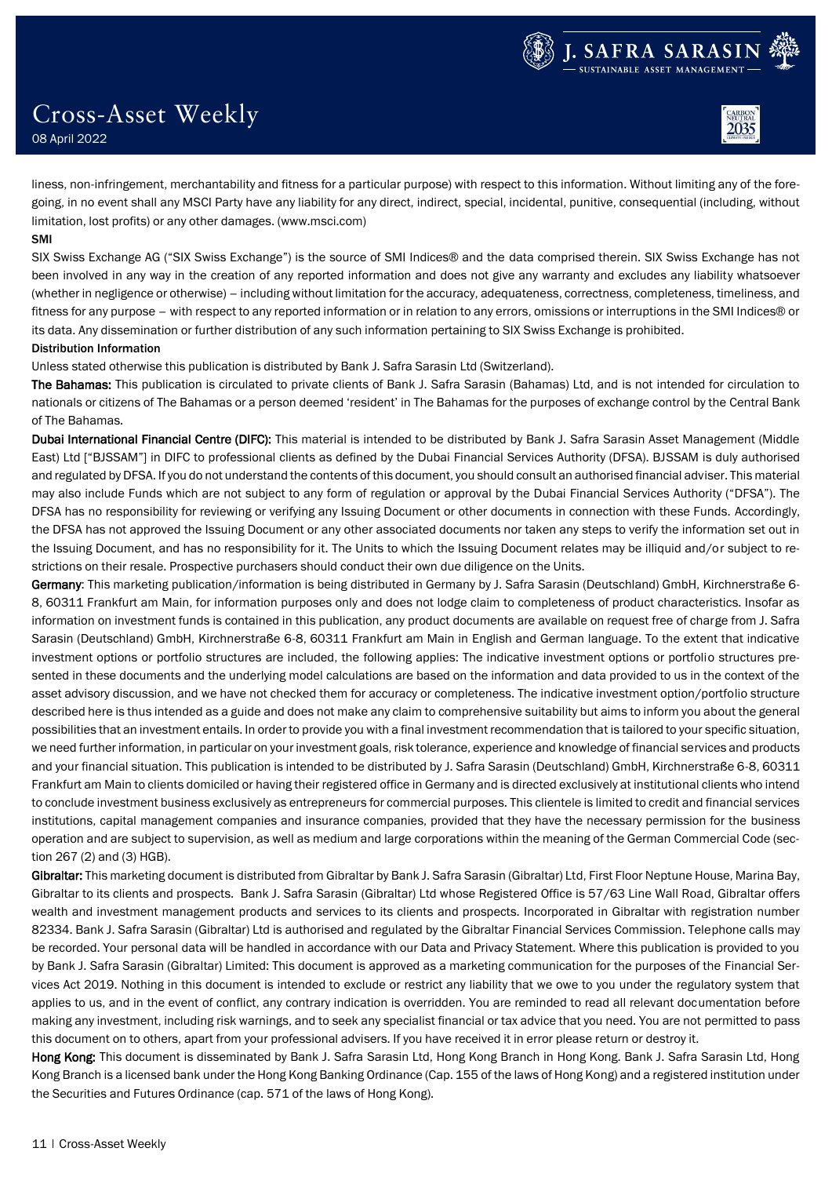



08 April 2022

Cross-Asset Weekly

liness, non-infringement, merchantability and fitness for a particular purpose) with respect to this information. Without limiting any of the foregoing, in no event shall any MSCI Party have any liability for any direct, indirect, special, incidental, punitive, consequential (including, without limitation, lost profits) or any other damages. (www.msci.com)

### SMI

SIX Swiss Exchange AG ("SIX Swiss Exchange") is the source of SMI Indices® and the data comprised therein. SIX Swiss Exchange has not been involved in any way in the creation of any reported information and does not give any warranty and excludes any liability whatsoever (whether in negligence or otherwise) – including without limitation for the accuracy, adequateness, correctness, completeness, timeliness, and fitness for any purpose – with respect to any reported information or in relation to any errors, omissions or interruptions in the SMI Indices® or its data. Any dissemination or further distribution of any such information pertaining to SIX Swiss Exchange is prohibited.

### Distribution Information

Unless stated otherwise this publication is distributed by Bank J. Safra Sarasin Ltd (Switzerland).

The Bahamas: This publication is circulated to private clients of Bank J. Safra Sarasin (Bahamas) Ltd, and is not intended for circulation to nationals or citizens of The Bahamas or a person deemed 'resident' in The Bahamas for the purposes of exchange control by the Central Bank of The Bahamas.

Dubai International Financial Centre (DIFC): This material is intended to be distributed by Bank J. Safra Sarasin Asset Management (Middle East) Ltd ["BJSSAM"] in DIFC to professional clients as defined by the Dubai Financial Services Authority (DFSA). BJSSAM is duly authorised and regulated by DFSA. If you do not understand the contents of this document, you should consult an authorised financial adviser. This material may also include Funds which are not subject to any form of regulation or approval by the Dubai Financial Services Authority ("DFSA"). The DFSA has no responsibility for reviewing or verifying any Issuing Document or other documents in connection with these Funds. Accordingly, the DFSA has not approved the Issuing Document or any other associated documents nor taken any steps to verify the information set out in the Issuing Document, and has no responsibility for it. The Units to which the Issuing Document relates may be illiquid and/or subject to restrictions on their resale. Prospective purchasers should conduct their own due diligence on the Units.

Germany: This marketing publication/information is being distributed in Germany by J. Safra Sarasin (Deutschland) GmbH, Kirchnerstraße 6-8, 60311 Frankfurt am Main, for information purposes only and does not lodge claim to completeness of product characteristics. Insofar as information on investment funds is contained in this publication, any product documents are available on request free of charge from J. Safra Sarasin (Deutschland) GmbH, Kirchnerstraße 6-8, 60311 Frankfurt am Main in English and German language. To the extent that indicative investment options or portfolio structures are included, the following applies: The indicative investment options or portfolio structures presented in these documents and the underlying model calculations are based on the information and data provided to us in the context of the asset advisory discussion, and we have not checked them for accuracy or completeness. The indicative investment option/portfolio structure described here is thus intended as a guide and does not make any claim to comprehensive suitability but aims to inform you about the general possibilities that an investment entails. In order to provide you with a final investment recommendation that is tailored to your specific situation, we need further information, in particular on your investment goals, risk tolerance, experience and knowledge of financial services and products and your financial situation. This publication is intended to be distributed by J. Safra Sarasin (Deutschland) GmbH, Kirchnerstraße 6-8, 60311 Frankfurt am Main to clients domiciled or having their registered office in Germany and is directed exclusively at institutional clients who intend to conclude investment business exclusively as entrepreneurs for commercial purposes. This clientele is limited to credit and financial services institutions, capital management companies and insurance companies, provided that they have the necessary permission for the business operation and are subject to supervision, as well as medium and large corporations within the meaning of the German Commercial Code (section 267 (2) and (3) HGB).

Gibraltar: This marketing document is distributed from Gibraltar by Bank J. Safra Sarasin (Gibraltar) Ltd, First Floor Neptune House, Marina Bay, Gibraltar to its clients and prospects. Bank J. Safra Sarasin (Gibraltar) Ltd whose Registered Office is 57/63 Line Wall Road, Gibraltar offers wealth and investment management products and services to its clients and prospects. Incorporated in Gibraltar with registration number 82334. Bank J. Safra Sarasin (Gibraltar) Ltd is authorised and regulated by the Gibraltar Financial Services Commission. Telephone calls may be recorded. Your personal data will be handled in accordance with our Data and Privacy Statement. Where this publication is provided to you by Bank J. Safra Sarasin (Gibraltar) Limited: This document is approved as a marketing communication for the purposes of the Financial Services Act 2019. Nothing in this document is intended to exclude or restrict any liability that we owe to you under the regulatory system that applies to us, and in the event of conflict, any contrary indication is overridden. You are reminded to read all relevant documentation before making any investment, including risk warnings, and to seek any specialist financial or tax advice that you need. You are not permitted to pass this document on to others, apart from your professional advisers. If you have received it in error please return or destroy it.

Hong Kong: This document is disseminated by Bank J. Safra Sarasin Ltd, Hong Kong Branch in Hong Kong. Bank J. Safra Sarasin Ltd, Hong Kong Branch is a licensed bank under the Hong Kong Banking Ordinance (Cap. 155 of the laws of Hong Kong) and a registered institution under the Securities and Futures Ordinance (cap. 571 of the laws of Hong Kong).